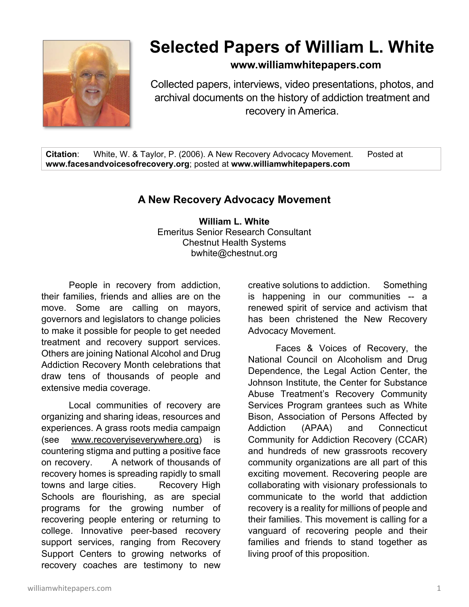

## **Selected Papers of William L. White**

**www.williamwhitepapers.com**

Collected papers, interviews, video presentations, photos, and archival documents on the history of addiction treatment and recovery in America.

**Citation**: White, W. & Taylor, P. (2006). A New Recovery Advocacy Movement. Posted at **www.facesandvoicesofrecovery.org**; posted at **www.williamwhitepapers.com** 

## **A New Recovery Advocacy Movement**

**William L. White**  Emeritus Senior Research Consultant Chestnut Health Systems bwhite@chestnut.org

People in recovery from addiction, their families, friends and allies are on the move. Some are calling on mayors, governors and legislators to change policies to make it possible for people to get needed treatment and recovery support services. Others are joining National Alcohol and Drug Addiction Recovery Month celebrations that draw tens of thousands of people and extensive media coverage.

Local communities of recovery are organizing and sharing ideas, resources and experiences. A grass roots media campaign (see www.recoveryiseverywhere.org) is countering stigma and putting a positive face on recovery. A network of thousands of recovery homes is spreading rapidly to small towns and large cities. Recovery High Schools are flourishing, as are special programs for the growing number of recovering people entering or returning to college. Innovative peer-based recovery support services, ranging from Recovery Support Centers to growing networks of recovery coaches are testimony to new

creative solutions to addiction. Something is happening in our communities -- a renewed spirit of service and activism that has been christened the New Recovery Advocacy Movement.

Faces & Voices of Recovery, the National Council on Alcoholism and Drug Dependence, the Legal Action Center, the Johnson Institute, the Center for Substance Abuse Treatment's Recovery Community Services Program grantees such as White Bison, Association of Persons Affected by Addiction (APAA) and Connecticut Community for Addiction Recovery (CCAR) and hundreds of new grassroots recovery community organizations are all part of this exciting movement. Recovering people are collaborating with visionary professionals to communicate to the world that addiction recovery is a reality for millions of people and their families. This movement is calling for a vanguard of recovering people and their families and friends to stand together as living proof of this proposition.